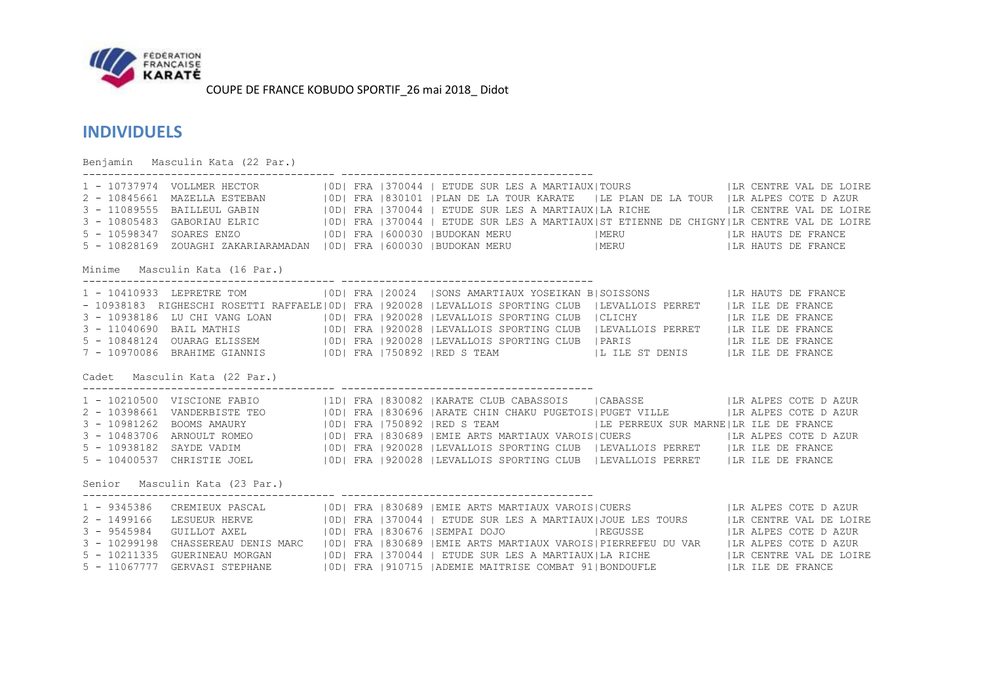

## **INDIVIDUELS**

Benjamin Masculin Kata (22 Par.) ---------------------------------------- ---------------------------------------- 1 - 10737974 VOLLMER HECTOR | 0D| FRA |370044 | ETUDE SUR LES A MARTIAUX|TOURS | |LR CENTRE VAL DE LOIRE 2 - 10845661 MAZELLA ESTEBAN |0D| FRA |830101 |PLAN DE LA TOUR KARATE |LE PLAN DE LA TOUR |LR ALPES COTE D AZUR 3 - 11089555 BAILLEUL GABIN |0D| FRA |370044 | ETUDE SUR LES A MARTIAUX|LA RICHE |LR CENTRE VAL DE LOIRE 3 - 10805483 GABORIAU ELRIC |0D| FRA |370044 | ETUDE SUR LES A MARTIAUX|ST ETIENNE DE CHIGNY|LR CENTRE VAL DE LOIRE 5 - 10598347 SOARES ENZO |0D| FRA |600030 |BUDOKAN MERU |MERU |LR HAUTS DE FRANCE 5 - 10828169 ZOUAGHI ZAKARIARAMADAN |0D| FRA |600030 |BUDOKAN MERU |MERU |LR HAUTS DE FRANCE Minime Masculin Kata (16 Par.) ---------------------------------------- ---------------------------------------- 1 - 10410933 LEPRETRE TOM | 0D| FRA |20024 |SONS AMARTIAUX YOSEIKAN B|SOISSONS | |LR HAUTS DE FRANCE - 10938183 RIGHESCHI ROSETTI RAFFAELE|0D| FRA |920028 |LEVALLOIS SPORTING CLUB |LEVALLOIS PERRET |LR ILE DE FRANCE 3 - 10938186 LU CHI VANG LOAN |0D| FRA |920028 |LEVALLOIS SPORTING CLUB |CLICHY |LR ILE DE FRANCE 3 - 11040690 BAIL MATHIS |0D| FRA |920028 |LEVALLOIS SPORTING CLUB |LEVALLOIS PERRET |LR ILE DE FRANCE 5 - 10848124 OUARAG ELISSEM | OD| FRA | 920028 | LEVALLOIS SPORTING CLUB | PARIS | | LA ILE DE FRANCE 7 - 10970086 BRAHIME GIANNIS |0D| FRA |750892 |RED S TEAM |L ILE ST DENIS |LR ILE DE FRANCE Cadet Masculin Kata (22 Par.) ---------------------------------------- ---------------------------------------- 1 - 10210500 VISCIONE FABIO |1D| FRA |830082 |KARATE CLUB CABASSOIS | CABASSE | |LR ALPES COTE D AZUR 2 - 10398661 VANDERBISTE TEO | |0D| FRA |830696 |ARATE CHIN CHAKU PUGETOIS|PUGET VILLE | |LR ALPES COTE D AZUR 3 - 10981262 BOOMS AMAURY | 0D| FRA |750892 |RED S TEAM | |LE PERREUX SUR MARNE|LR ILE DE FRANCE 3 - 10483706 ARNOULT ROMEO | |0D| FRA |830689 |EMIE ARTS MARTIAUX VAROIS|CUERS | |LR ALPES COTE D AZUR 5 - 10938182 SAYDE VADIM |0D| FRA |920028 |LEVALLOIS SPORTING CLUB |LEVALLOIS PERRET |LR ILE DE FRANCE 5 - 10400537 CHRISTIE JOEL |0D| FRA |920028 |LEVALLOIS SPORTING CLUB |LEVALLOIS PERRET |LR ILE DE FRANCE Senior Masculin Kata (23 Par.) ---------------------------------------- ---------------------------------------- 1 - 9345386 CREMIEUX PASCAL |0D| FRA |830689 |EMIE ARTS MARTIAUX VAROIS|CUERS |LR ALPES COTE D AZUR 2 - 1499166 LESUEUR HERVE |0D| FRA |370044 | ETUDE SUR LES A MARTIAUX|JOUE LES TOURS |LR CENTRE VAL DE LOIRE 3 - 9545984 GUILLOT AXEL |0D| FRA |830676 |SEMPAI DOJO |REGUSSE |LR ALPES COTE D AZUR 3 - 10299198 CHASSEREAU DENIS MARC |0D| FRA |830689 |EMIE ARTS MARTIAUX VAROIS|PIERREFEU DU VAR |LR ALPES COTE D AZUR 5 - 10211335 GUERINEAU MORGAN |0D| FRA |370044 | ETUDE SUR LES A MARTIAUX|LA RICHE |LR CENTRE VAL DE LOIRE 5 - 11067777 GERVASI STEPHANE |0D| FRA |910715 |ADEMIE MAITRISE COMBAT 91|BONDOUFLE |LR ILE DE FRANCE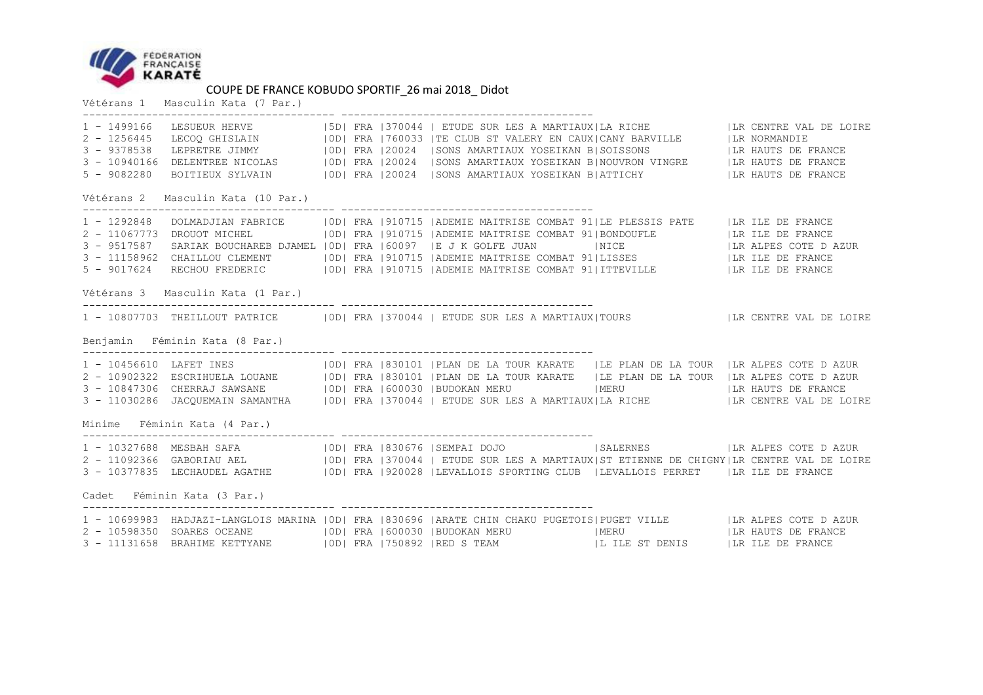

Vétérans 1 Masculin Kata (7 Par.)

| $1 - 1499166$                      |                                   |  |  |  |                                                                                                                                                                                                                                                                                                                                                                                                                                                                  |  |  |                    |  |  |  |
|------------------------------------|-----------------------------------|--|--|--|------------------------------------------------------------------------------------------------------------------------------------------------------------------------------------------------------------------------------------------------------------------------------------------------------------------------------------------------------------------------------------------------------------------------------------------------------------------|--|--|--------------------|--|--|--|
| Vétérans 2 Masculin Kata (10 Par.) |                                   |  |  |  |                                                                                                                                                                                                                                                                                                                                                                                                                                                                  |  |  |                    |  |  |  |
| $3 - 9517587$                      |                                   |  |  |  | 1 - 1292848 DOLMADJIAN FABRICE   OD  FRA   910715   ADEMIE MAITRISE COMBAT 91  LE PLESSIS PATE   LR ILE DE FRANCE<br>2 - 11067773 DROUOT MICHEL   0D  FRA   910715   ADEMIE MAITRISE COMBAT 91  BONDOUFLE     LR ILE DE FRANCE<br>SARIAK BOUCHAREB DJAMEL   OD   FRA   60097   E J K GOLFE JUAN   NICE     NICE     LR ALPES COTE D AZUR<br>3 - 11158962 CHAILLOU CLEMENT   0D  FRA   910715   ADEMIE MAITRISE COMBAT 91  LISSES     LIR ILE DE FRANCE           |  |  |                    |  |  |  |
|                                    | Vétérans 3 Masculin Kata (1 Par.) |  |  |  |                                                                                                                                                                                                                                                                                                                                                                                                                                                                  |  |  |                    |  |  |  |
|                                    |                                   |  |  |  | 1 - 10807703 THEILLOUT PATRICE   OD  FRA   370044   ETUDE SUR LES A MARTIAUX TOURS   LR CENTRE VAL DE LOIRE                                                                                                                                                                                                                                                                                                                                                      |  |  |                    |  |  |  |
| Benjamin Féminin Kata (8 Par.)     |                                   |  |  |  |                                                                                                                                                                                                                                                                                                                                                                                                                                                                  |  |  |                    |  |  |  |
|                                    |                                   |  |  |  | 1 - 10456610 LAFET INES (OD) FRA 830101 PLAN DE LA TOUR KARATE   LE PLAN DE LA TOUR   LR ALPES COTE DAZUR<br>2 - 10902322 ESCRIHUELA LOUANE   0D  FRA   830101   PLAN DE LA TOUR KARATE   LE PLAN DE LA TOUR   LR ALPES COTE DAZUR<br>3 - 10847306 CHERRAJ SAWSANE   IOD  FRA   600030   BUDOKAN MERU   IMERU   IMERU   LR HAUTS DE FRANCE<br>3 - 11030286 JACQUEMAIN SAMANTHA   OD  FRA   370044   ETUDE SUR LES A MARTIAUX LA RICHE     LR CENTRE VAL DE LOIRE |  |  |                    |  |  |  |
| Minime Féminin Kata (4 Par.)       |                                   |  |  |  |                                                                                                                                                                                                                                                                                                                                                                                                                                                                  |  |  |                    |  |  |  |
|                                    |                                   |  |  |  | 1 - 10327688 MESBAH SAFA (100) FRA 830676 SEMPAI DOJO (SALERNES )   LR ALPES COTE DAZUR<br>2 - 11092366 GABORIAU AEL (IDI FRA 1370044   ETUDE SUR LES A MARTIAUX ST ETIENNE DE CHIGNY   LR CENTRE VAL DE LOIRE<br>3 - 10377835 LECHAUDEL AGATHE   0D  FRA   920028   LEVALLOIS SPORTING CLUB   LEVALLOIS PERRET   LR ILE DE FRANCE                                                                                                                               |  |  |                    |  |  |  |
| Cadet Féminin Kata (3 Par.)        |                                   |  |  |  |                                                                                                                                                                                                                                                                                                                                                                                                                                                                  |  |  |                    |  |  |  |
|                                    |                                   |  |  |  | 1 - 10699983 HADJAZI-LANGLOIS MARINA   OD  FRA   830696   ARATE CHIN CHAKU PUGETOIS  PUGET VILLE     LR ALPES COTE DAZUR<br>2 - 10598350 SOARES OCEANE   0D  FRA   600030   BUDOKAN MERU   MERU<br>3 – 10000000 DOMED COMMENT (ODER 1999) PRA 1999000 PODDOMENT HERO COMPUTER THE ST DENIS CONTROL PER PRANCE                                                                                                                                                    |  |  | LR HAUTS DE FRANCE |  |  |  |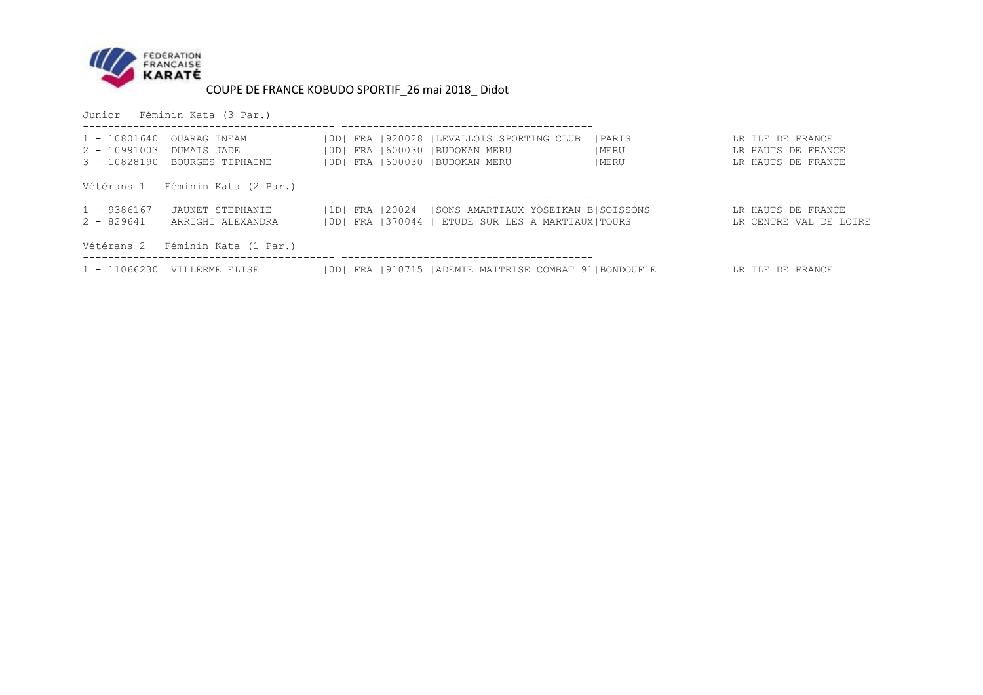

Junior Féminin Kata (3 Par.)

| 2 - 10991003 DUMAIS JADE    | 1 - 10801640 OUARAG INEAM<br>3 - 10828190 BOURGES TIPHAINE |  | [OD] FRA 1920028  LEVALLOIS SPORTING CLUB<br>  0D   FRA   600030   BUDOKAN MERU<br>10D1 FRA 1600030 IBUDOKAN MERU | <b>IPARIS</b><br>  MERU<br>  MERU | ILR ILE DE FRANCE<br>LR HAUTS DE FRANCE<br>ILR HAUTS DE FRANCE |
|-----------------------------|------------------------------------------------------------|--|-------------------------------------------------------------------------------------------------------------------|-----------------------------------|----------------------------------------------------------------|
|                             | Vétérans 1 Féminin Kata (2 Par.)                           |  |                                                                                                                   |                                   |                                                                |
| $1 - 9386167$<br>2 - 829641 | JAUNET STEPHANIE<br>ARRIGHI ALEXANDRA                      |  | 1D  FRA  20024  SONS AMARTIAUX YOSEIKAN B SOISSONS<br>  OD  FRA   370044   ETUDE SUR LES A MARTIAUX  TOURS        |                                   | LR HAUTS DE FRANCE<br>ILR CENTRE VAL DE LOIRE                  |
|                             | Vétérans 2 Féminin Kata (1 Par.)                           |  |                                                                                                                   |                                   |                                                                |
|                             | $1 - 11066230$ VILLERME ELISE                              |  | 10D1 FRA 1910715 IADEMIE MAITRISE COMBAT 911BONDOUFLE                                                             |                                   | ILR ILE DE FRANCE                                              |